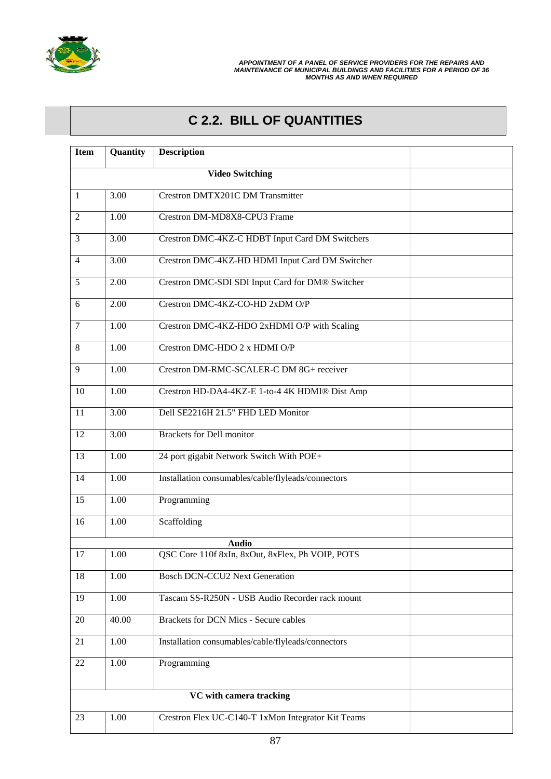

## **C 2.2. BILL OF QUANTITIES**

| <b>Item</b>    | Quantity | <b>Description</b>                                 |  |
|----------------|----------|----------------------------------------------------|--|
|                |          | <b>Video Switching</b>                             |  |
| $\mathbf{1}$   | 3.00     | <b>Crestron DMTX201C DM Transmitter</b>            |  |
| $\overline{2}$ | 1.00     | Crestron DM-MD8X8-CPU3 Frame                       |  |
| 3              | 3.00     | Crestron DMC-4KZ-C HDBT Input Card DM Switchers    |  |
| $\overline{4}$ | 3.00     | Crestron DMC-4KZ-HD HDMI Input Card DM Switcher    |  |
| 5              | 2.00     | Crestron DMC-SDI SDI Input Card for DM® Switcher   |  |
| 6              | 2.00     | Crestron DMC-4KZ-CO-HD 2xDM O/P                    |  |
| $\tau$         | 1.00     | Crestron DMC-4KZ-HDO 2xHDMI O/P with Scaling       |  |
| 8              | 1.00     | Crestron DMC-HDO 2 x HDMI O/P                      |  |
| 9              | 1.00     | Crestron DM-RMC-SCALER-C DM 8G+ receiver           |  |
| 10             | 1.00     | Crestron HD-DA4-4KZ-E 1-to-4 4K HDMI® Dist Amp     |  |
| 11             | 3.00     | Dell SE2216H 21.5" FHD LED Monitor                 |  |
| 12             | 3.00     | <b>Brackets for Dell monitor</b>                   |  |
| 13             | 1.00     | 24 port gigabit Network Switch With POE+           |  |
| 14             | 1.00     | Installation consumables/cable/flyleads/connectors |  |
| 15             | 1.00     | Programming                                        |  |
| 16             | 1.00     | Scaffolding                                        |  |
|                |          | <b>Audio</b>                                       |  |
| 17             | 1.00     | QSC Core 110f 8xIn, 8xOut, 8xFlex, Ph VOIP, POTS   |  |
| 18             | 1.00     | <b>Bosch DCN-CCU2 Next Generation</b>              |  |
| 19             | 1.00     | Tascam SS-R250N - USB Audio Recorder rack mount    |  |
| 20             | 40.00    | <b>Brackets for DCN Mics - Secure cables</b>       |  |
| 21             | 1.00     | Installation consumables/cable/flyleads/connectors |  |
| 22             | 1.00     | Programming                                        |  |
|                |          |                                                    |  |
| 23             | 1.00     | Crestron Flex UC-C140-T 1xMon Integrator Kit Teams |  |
|                |          |                                                    |  |